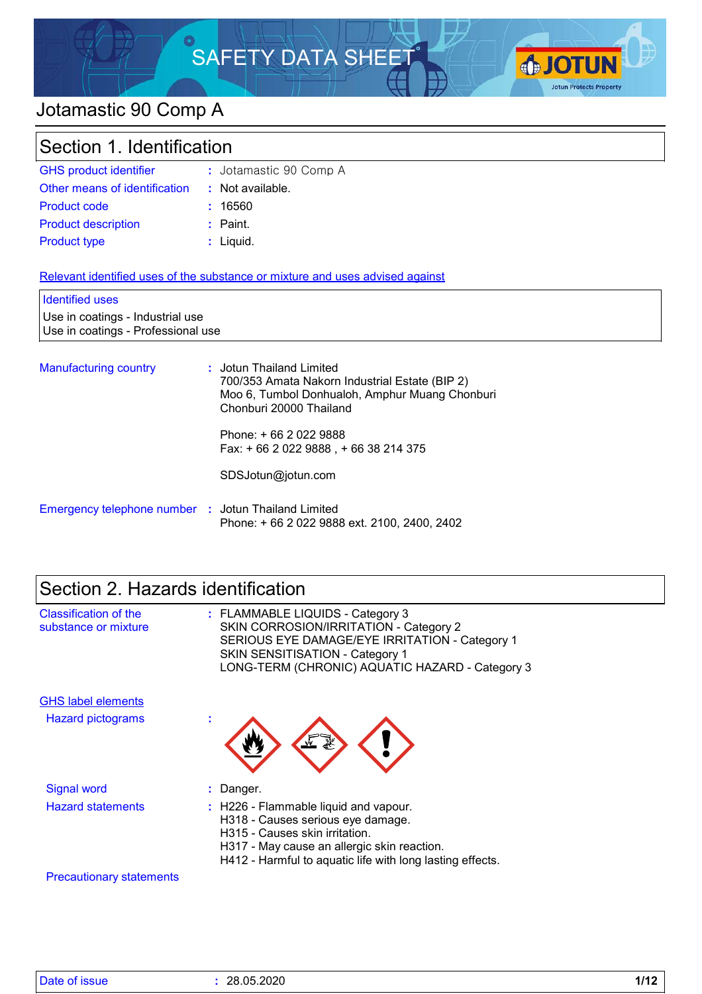# SAFETY DATA SHEET



# Jotamastic 90 Comp A

| Section 1. Identification                                              |                                                                                                                                                         |  |  |
|------------------------------------------------------------------------|---------------------------------------------------------------------------------------------------------------------------------------------------------|--|--|
| <b>GHS product identifier</b>                                          | : Jotamastic 90 Comp A                                                                                                                                  |  |  |
| Other means of identification                                          | : Not available.                                                                                                                                        |  |  |
| <b>Product code</b>                                                    | : 16560                                                                                                                                                 |  |  |
| <b>Product description</b>                                             | $:$ Paint.                                                                                                                                              |  |  |
| <b>Product type</b>                                                    | : Liquid.                                                                                                                                               |  |  |
| <b>Identified uses</b>                                                 | Relevant identified uses of the substance or mixture and uses advised against                                                                           |  |  |
| Use in coatings - Industrial use<br>Use in coatings - Professional use |                                                                                                                                                         |  |  |
| <b>Manufacturing country</b>                                           | : Jotun Thailand Limited<br>700/353 Amata Nakorn Industrial Estate (BIP 2)<br>Moo 6, Tumbol Donhualoh, Amphur Muang Chonburi<br>Chonburi 20000 Thailand |  |  |
|                                                                        | Phone: +66 2022 9888<br>Fax: +66 2 022 9888, +66 38 214 375                                                                                             |  |  |

| Emergency telephone number : Jotun Thailand Limited |                                              |  |
|-----------------------------------------------------|----------------------------------------------|--|
|                                                     | Phone: + 66 2 022 9888 ext. 2100, 2400, 2402 |  |

SDSJotun@jotun.com

| Section 2. Hazards identification                    |                                                                                                                                                                                                                           |  |  |
|------------------------------------------------------|---------------------------------------------------------------------------------------------------------------------------------------------------------------------------------------------------------------------------|--|--|
| <b>Classification of the</b><br>substance or mixture | : FLAMMABLE LIQUIDS - Category 3<br>SKIN CORROSION/IRRITATION - Category 2<br>SERIOUS EYE DAMAGE/EYE IRRITATION - Category 1<br><b>SKIN SENSITISATION - Category 1</b><br>LONG-TERM (CHRONIC) AQUATIC HAZARD - Category 3 |  |  |
| <b>GHS label elements</b>                            |                                                                                                                                                                                                                           |  |  |
| <b>Hazard pictograms</b>                             |                                                                                                                                                                                                                           |  |  |
| <b>Signal word</b>                                   | : Danger.                                                                                                                                                                                                                 |  |  |
| <b>Hazard statements</b>                             | : H226 - Flammable liquid and vapour.<br>H318 - Causes serious eye damage.<br>H315 - Causes skin irritation.<br>H317 - May cause an allergic skin reaction.<br>H412 - Harmful to aquatic life with long lasting effects.  |  |  |
| <b>Precautionary statements</b>                      |                                                                                                                                                                                                                           |  |  |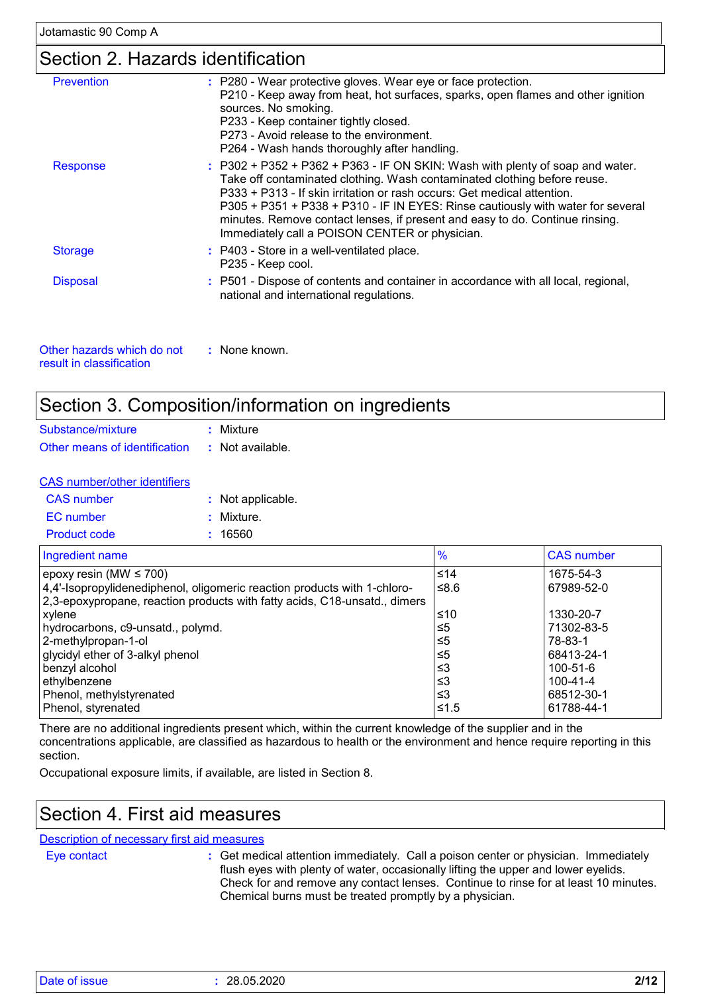## Section 2. Hazards identification

| P210 - Keep away from heat, hot surfaces, sparks, open flames and other ignition                                                                                                                                                                                                                                                                                                                          |
|-----------------------------------------------------------------------------------------------------------------------------------------------------------------------------------------------------------------------------------------------------------------------------------------------------------------------------------------------------------------------------------------------------------|
| $:$ P302 + P352 + P362 + P363 - IF ON SKIN: Wash with plenty of soap and water.<br>Take off contaminated clothing. Wash contaminated clothing before reuse.<br>P333 + P313 - If skin irritation or rash occurs: Get medical attention.<br>P305 + P351 + P338 + P310 - IF IN EYES: Rinse cautiously with water for several<br>minutes. Remove contact lenses, if present and easy to do. Continue rinsing. |
|                                                                                                                                                                                                                                                                                                                                                                                                           |
| : P501 - Dispose of contents and container in accordance with all local, regional,                                                                                                                                                                                                                                                                                                                        |
|                                                                                                                                                                                                                                                                                                                                                                                                           |

| Other hazards which do not | : None known. |
|----------------------------|---------------|
| result in classification.  |               |

### Section 3. Composition/information on ingredients

| Substance/mixture             | : Mixture        |
|-------------------------------|------------------|
| Other means of identification | : Not available. |

| <b>CAS</b> number/other identifiers |       |
|-------------------------------------|-------|
| <b>CAS</b> number                   | : Not |

| <b>CAS</b> number   | : Not applicable. |
|---------------------|-------------------|
| EC number           | : Mixture.        |
| <b>Product code</b> | : 16560           |

| Ingredient name                                                           | $\frac{9}{6}$ | <b>CAS number</b> |
|---------------------------------------------------------------------------|---------------|-------------------|
| epoxy resin (MW $\leq$ 700)                                               | $≤14$         | 1675-54-3         |
| 4,4'-Isopropylidenediphenol, oligomeric reaction products with 1-chloro-  | ≤ $8.6$       | 67989-52-0        |
| 2,3-epoxypropane, reaction products with fatty acids, C18-unsatd., dimers |               |                   |
| xylene                                                                    | ≤10           | 1330-20-7         |
| hydrocarbons, c9-unsatd., polymd.                                         | $\leq 5$      | 71302-83-5        |
| 2-methylpropan-1-ol                                                       | $\leq 5$      | 78-83-1           |
| glycidyl ether of 3-alkyl phenol                                          | $\leq 5$      | 68413-24-1        |
| benzyl alcohol                                                            | ≤3            | 100-51-6          |
| ethylbenzene                                                              | ≤3            | 100-41-4          |
| Phenol, methylstyrenated                                                  | $\leq$ 3      | 68512-30-1        |
| Phenol, styrenated                                                        | $≤1.5$        | 61788-44-1        |

There are no additional ingredients present which, within the current knowledge of the supplier and in the concentrations applicable, are classified as hazardous to health or the environment and hence require reporting in this section.

Occupational exposure limits, if available, are listed in Section 8.

### Section 4. First aid measures

Description of necessary first aid measures

Eye contact **:**

Get medical attention immediately. Call a poison center or physician. Immediately flush eyes with plenty of water, occasionally lifting the upper and lower eyelids. Check for and remove any contact lenses. Continue to rinse for at least 10 minutes. Chemical burns must be treated promptly by a physician.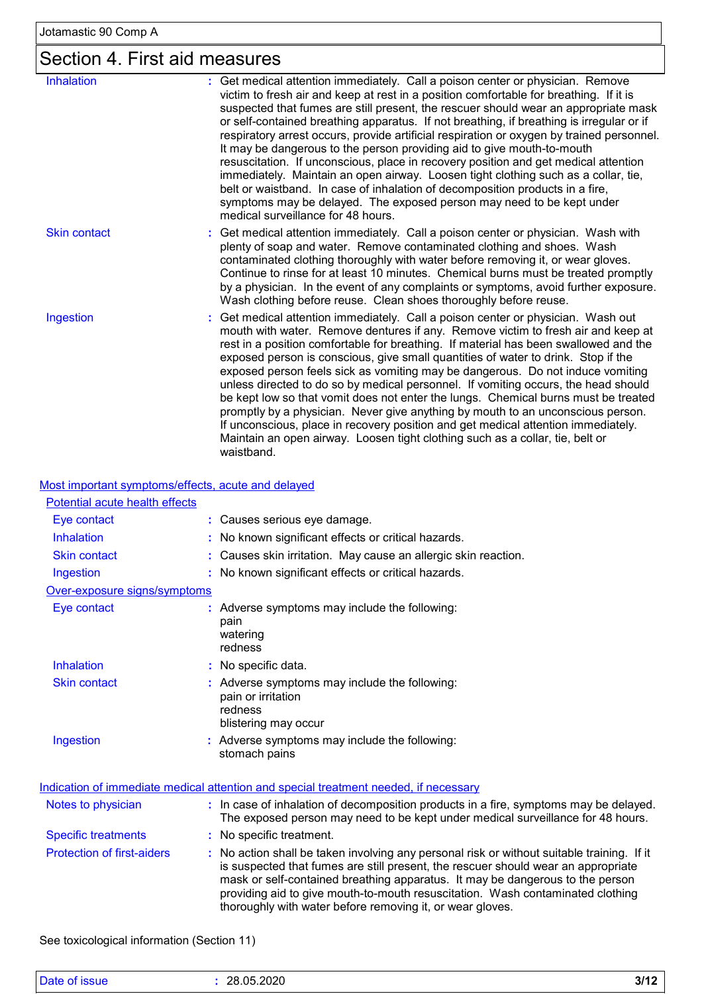# Section 4. First aid measures

| <b>Inhalation</b>   | : Get medical attention immediately. Call a poison center or physician. Remove<br>victim to fresh air and keep at rest in a position comfortable for breathing. If it is<br>suspected that fumes are still present, the rescuer should wear an appropriate mask<br>or self-contained breathing apparatus. If not breathing, if breathing is irregular or if<br>respiratory arrest occurs, provide artificial respiration or oxygen by trained personnel.<br>It may be dangerous to the person providing aid to give mouth-to-mouth<br>resuscitation. If unconscious, place in recovery position and get medical attention<br>immediately. Maintain an open airway. Loosen tight clothing such as a collar, tie,<br>belt or waistband. In case of inhalation of decomposition products in a fire,<br>symptoms may be delayed. The exposed person may need to be kept under<br>medical surveillance for 48 hours. |
|---------------------|-----------------------------------------------------------------------------------------------------------------------------------------------------------------------------------------------------------------------------------------------------------------------------------------------------------------------------------------------------------------------------------------------------------------------------------------------------------------------------------------------------------------------------------------------------------------------------------------------------------------------------------------------------------------------------------------------------------------------------------------------------------------------------------------------------------------------------------------------------------------------------------------------------------------|
| <b>Skin contact</b> | : Get medical attention immediately. Call a poison center or physician. Wash with<br>plenty of soap and water. Remove contaminated clothing and shoes. Wash<br>contaminated clothing thoroughly with water before removing it, or wear gloves.<br>Continue to rinse for at least 10 minutes. Chemical burns must be treated promptly<br>by a physician. In the event of any complaints or symptoms, avoid further exposure.<br>Wash clothing before reuse. Clean shoes thoroughly before reuse.                                                                                                                                                                                                                                                                                                                                                                                                                 |
| Ingestion           | Get medical attention immediately. Call a poison center or physician. Wash out<br>mouth with water. Remove dentures if any. Remove victim to fresh air and keep at<br>rest in a position comfortable for breathing. If material has been swallowed and the<br>exposed person is conscious, give small quantities of water to drink. Stop if the<br>exposed person feels sick as vomiting may be dangerous. Do not induce vomiting<br>unless directed to do so by medical personnel. If vomiting occurs, the head should<br>be kept low so that vomit does not enter the lungs. Chemical burns must be treated<br>promptly by a physician. Never give anything by mouth to an unconscious person.<br>If unconscious, place in recovery position and get medical attention immediately.<br>Maintain an open airway. Loosen tight clothing such as a collar, tie, belt or<br>waistband.                            |

Most important symptoms/effects, acute and delayed

| Potential acute health effects    |                                                                                                                                                                                                                                                                                                                                                                                                                 |
|-----------------------------------|-----------------------------------------------------------------------------------------------------------------------------------------------------------------------------------------------------------------------------------------------------------------------------------------------------------------------------------------------------------------------------------------------------------------|
| Eye contact                       | : Causes serious eye damage.                                                                                                                                                                                                                                                                                                                                                                                    |
| Inhalation                        | : No known significant effects or critical hazards.                                                                                                                                                                                                                                                                                                                                                             |
| <b>Skin contact</b>               | : Causes skin irritation. May cause an allergic skin reaction.                                                                                                                                                                                                                                                                                                                                                  |
| Ingestion                         | : No known significant effects or critical hazards.                                                                                                                                                                                                                                                                                                                                                             |
| Over-exposure signs/symptoms      |                                                                                                                                                                                                                                                                                                                                                                                                                 |
| Eye contact                       | : Adverse symptoms may include the following:<br>pain<br>watering<br>redness                                                                                                                                                                                                                                                                                                                                    |
| <b>Inhalation</b>                 | : No specific data.                                                                                                                                                                                                                                                                                                                                                                                             |
| <b>Skin contact</b>               | : Adverse symptoms may include the following:<br>pain or irritation<br>redness<br>blistering may occur                                                                                                                                                                                                                                                                                                          |
| Ingestion                         | : Adverse symptoms may include the following:<br>stomach pains                                                                                                                                                                                                                                                                                                                                                  |
|                                   | Indication of immediate medical attention and special treatment needed, if necessary                                                                                                                                                                                                                                                                                                                            |
| Notes to physician                | : In case of inhalation of decomposition products in a fire, symptoms may be delayed.<br>The exposed person may need to be kept under medical surveillance for 48 hours.                                                                                                                                                                                                                                        |
| <b>Specific treatments</b>        | : No specific treatment.                                                                                                                                                                                                                                                                                                                                                                                        |
| <b>Protection of first-aiders</b> | : No action shall be taken involving any personal risk or without suitable training. If it<br>is suspected that fumes are still present, the rescuer should wear an appropriate<br>mask or self-contained breathing apparatus. It may be dangerous to the person<br>providing aid to give mouth-to-mouth resuscitation. Wash contaminated clothing<br>thoroughly with water before removing it, or wear gloves. |

See toxicological information (Section 11)

| Date of issue | 28.05.2020 | 3/12 |
|---------------|------------|------|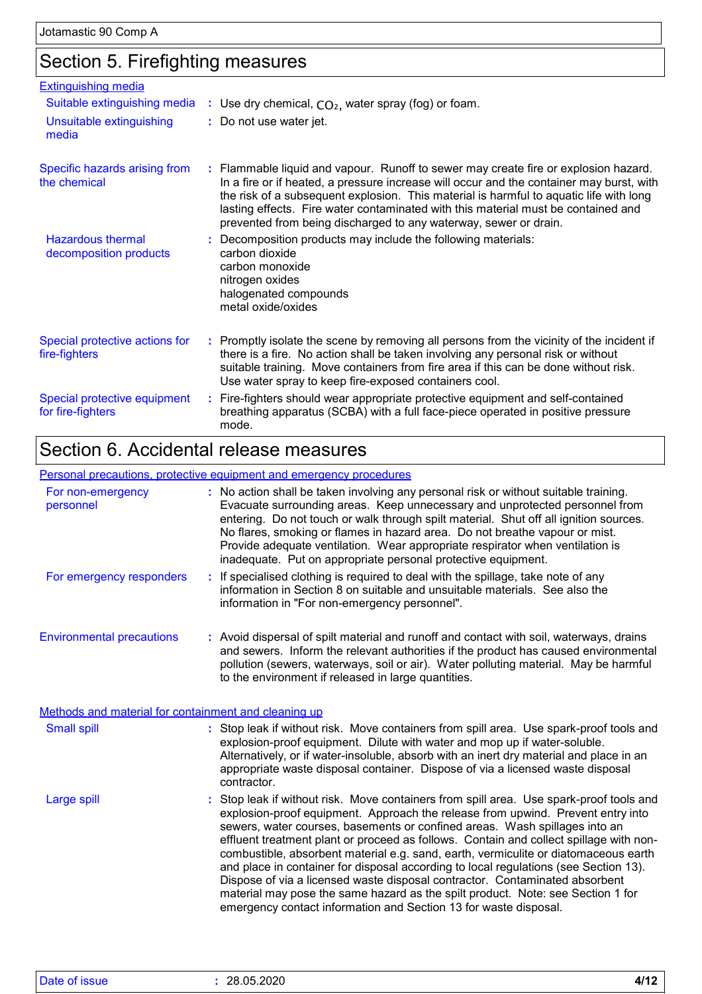### Section 5. Firefighting measures

| <b>Extinguishing media</b>                         |                                                                                                                                                                                                                                                                                                                                                                                                                                    |
|----------------------------------------------------|------------------------------------------------------------------------------------------------------------------------------------------------------------------------------------------------------------------------------------------------------------------------------------------------------------------------------------------------------------------------------------------------------------------------------------|
| Suitable extinguishing media                       | : Use dry chemical, $CO2$ , water spray (fog) or foam.                                                                                                                                                                                                                                                                                                                                                                             |
| Unsuitable extinguishing<br>media                  | : Do not use water jet.                                                                                                                                                                                                                                                                                                                                                                                                            |
| Specific hazards arising from<br>the chemical      | : Flammable liquid and vapour. Runoff to sewer may create fire or explosion hazard.<br>In a fire or if heated, a pressure increase will occur and the container may burst, with<br>the risk of a subsequent explosion. This material is harmful to aquatic life with long<br>lasting effects. Fire water contaminated with this material must be contained and<br>prevented from being discharged to any waterway, sewer or drain. |
| <b>Hazardous thermal</b><br>decomposition products | Decomposition products may include the following materials:<br>carbon dioxide<br>carbon monoxide<br>nitrogen oxides<br>halogenated compounds<br>metal oxide/oxides                                                                                                                                                                                                                                                                 |
| Special protective actions for<br>fire-fighters    | : Promptly isolate the scene by removing all persons from the vicinity of the incident if<br>there is a fire. No action shall be taken involving any personal risk or without<br>suitable training. Move containers from fire area if this can be done without risk.<br>Use water spray to keep fire-exposed containers cool.                                                                                                      |
| Special protective equipment<br>for fire-fighters  | : Fire-fighters should wear appropriate protective equipment and self-contained<br>breathing apparatus (SCBA) with a full face-piece operated in positive pressure<br>mode.                                                                                                                                                                                                                                                        |

### Section 6. Accidental release measures

#### Environmental precautions Personal precautions, protective equipment and emergency procedures Stop leak if without risk. Move containers from spill area. Use spark-proof tools and explosion-proof equipment. Approach the release from upwind. Prevent entry into sewers, water courses, basements or confined areas. Wash spillages into an effluent treatment plant or proceed as follows. Contain and collect spillage with noncombustible, absorbent material e.g. sand, earth, vermiculite or diatomaceous earth and place in container for disposal according to local regulations (see Section 13). Dispose of via a licensed waste disposal contractor. Contaminated absorbent **:** Avoid dispersal of spilt material and runoff and contact with soil, waterways, drains **:** No action shall be taken involving any personal risk or without suitable training. Evacuate surrounding areas. Keep unnecessary and unprotected personnel from entering. Do not touch or walk through spilt material. Shut off all ignition sources. No flares, smoking or flames in hazard area. Do not breathe vapour or mist. Provide adequate ventilation. Wear appropriate respirator when ventilation is inadequate. Put on appropriate personal protective equipment. and sewers. Inform the relevant authorities if the product has caused environmental pollution (sewers, waterways, soil or air). Water polluting material. May be harmful to the environment if released in large quantities. Large spill **:** Stop leak if without risk. Move containers from spill area. Use spark-proof tools and explosion-proof equipment. Dilute with water and mop up if water-soluble. Alternatively, or if water-insoluble, absorb with an inert dry material and place in an appropriate waste disposal container. Dispose of via a licensed waste disposal contractor. Small spill **:** Methods and material for containment and cleaning up For non-emergency personnel For emergency responders **:** If specialised clothing is required to deal with the spillage, take note of any information in Section 8 on suitable and unsuitable materials. See also the information in "For non-emergency personnel".

material may pose the same hazard as the spilt product. Note: see Section 1 for

emergency contact information and Section 13 for waste disposal.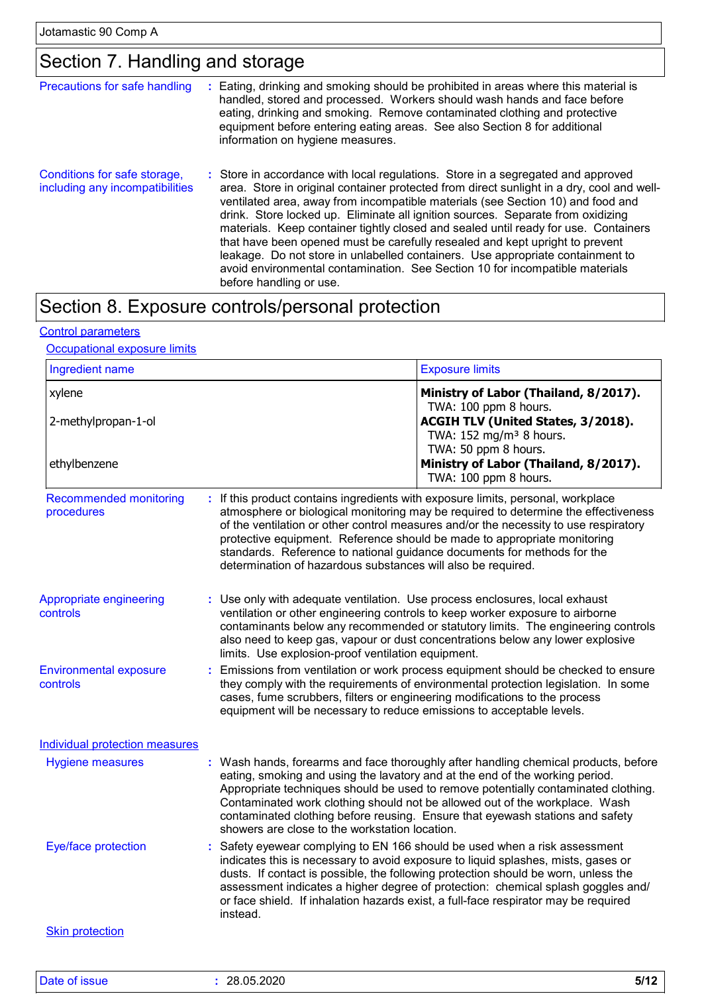## Section 7. Handling and storage

| Precautions for safe handling                                   | Eating, drinking and smoking should be prohibited in areas where this material is<br>handled, stored and processed. Workers should wash hands and face before<br>eating, drinking and smoking. Remove contaminated clothing and protective<br>equipment before entering eating areas. See also Section 8 for additional<br>information on hygiene measures.                                                                                                                                                                                                                                                                                                                                                             |
|-----------------------------------------------------------------|-------------------------------------------------------------------------------------------------------------------------------------------------------------------------------------------------------------------------------------------------------------------------------------------------------------------------------------------------------------------------------------------------------------------------------------------------------------------------------------------------------------------------------------------------------------------------------------------------------------------------------------------------------------------------------------------------------------------------|
| Conditions for safe storage,<br>including any incompatibilities | : Store in accordance with local regulations. Store in a segregated and approved<br>area. Store in original container protected from direct sunlight in a dry, cool and well-<br>ventilated area, away from incompatible materials (see Section 10) and food and<br>drink. Store locked up. Eliminate all ignition sources. Separate from oxidizing<br>materials. Keep container tightly closed and sealed until ready for use. Containers<br>that have been opened must be carefully resealed and kept upright to prevent<br>leakage. Do not store in unlabelled containers. Use appropriate containment to<br>avoid environmental contamination. See Section 10 for incompatible materials<br>before handling or use. |

# Section 8. Exposure controls/personal protection

#### Control parameters

#### **Occupational exposure limits**

| Ingredient name                             |                                                                                                                                                                                                                                                                                                                               | <b>Exposure limits</b>                                                                                                                                                                                                                                                                                                                                                                                                           |  |
|---------------------------------------------|-------------------------------------------------------------------------------------------------------------------------------------------------------------------------------------------------------------------------------------------------------------------------------------------------------------------------------|----------------------------------------------------------------------------------------------------------------------------------------------------------------------------------------------------------------------------------------------------------------------------------------------------------------------------------------------------------------------------------------------------------------------------------|--|
| xylene<br>2-methylpropan-1-ol               |                                                                                                                                                                                                                                                                                                                               | Ministry of Labor (Thailand, 8/2017).<br>TWA: 100 ppm 8 hours.<br>ACGIH TLV (United States, 3/2018).<br>TWA: 152 mg/m <sup>3</sup> 8 hours.                                                                                                                                                                                                                                                                                      |  |
| ethylbenzene                                |                                                                                                                                                                                                                                                                                                                               | TWA: 50 ppm 8 hours.<br>Ministry of Labor (Thailand, 8/2017).<br>TWA: 100 ppm 8 hours.                                                                                                                                                                                                                                                                                                                                           |  |
| <b>Recommended monitoring</b><br>procedures | determination of hazardous substances will also be required.                                                                                                                                                                                                                                                                  | : If this product contains ingredients with exposure limits, personal, workplace<br>atmosphere or biological monitoring may be required to determine the effectiveness<br>of the ventilation or other control measures and/or the necessity to use respiratory<br>protective equipment. Reference should be made to appropriate monitoring<br>standards. Reference to national guidance documents for methods for the            |  |
| Appropriate engineering<br>controls         | limits. Use explosion-proof ventilation equipment.                                                                                                                                                                                                                                                                            | : Use only with adequate ventilation. Use process enclosures, local exhaust<br>ventilation or other engineering controls to keep worker exposure to airborne<br>contaminants below any recommended or statutory limits. The engineering controls<br>also need to keep gas, vapour or dust concentrations below any lower explosive                                                                                               |  |
| <b>Environmental exposure</b><br>controls   | Emissions from ventilation or work process equipment should be checked to ensure<br>they comply with the requirements of environmental protection legislation. In some<br>cases, fume scrubbers, filters or engineering modifications to the process<br>equipment will be necessary to reduce emissions to acceptable levels. |                                                                                                                                                                                                                                                                                                                                                                                                                                  |  |
| <b>Individual protection measures</b>       |                                                                                                                                                                                                                                                                                                                               |                                                                                                                                                                                                                                                                                                                                                                                                                                  |  |
| <b>Hygiene measures</b>                     | showers are close to the workstation location.                                                                                                                                                                                                                                                                                | : Wash hands, forearms and face thoroughly after handling chemical products, before<br>eating, smoking and using the lavatory and at the end of the working period.<br>Appropriate techniques should be used to remove potentially contaminated clothing.<br>Contaminated work clothing should not be allowed out of the workplace. Wash<br>contaminated clothing before reusing. Ensure that eyewash stations and safety        |  |
| Eye/face protection                         | instead.                                                                                                                                                                                                                                                                                                                      | : Safety eyewear complying to EN 166 should be used when a risk assessment<br>indicates this is necessary to avoid exposure to liquid splashes, mists, gases or<br>dusts. If contact is possible, the following protection should be worn, unless the<br>assessment indicates a higher degree of protection: chemical splash goggles and/<br>or face shield. If inhalation hazards exist, a full-face respirator may be required |  |
| <b>Skin protection</b>                      |                                                                                                                                                                                                                                                                                                                               |                                                                                                                                                                                                                                                                                                                                                                                                                                  |  |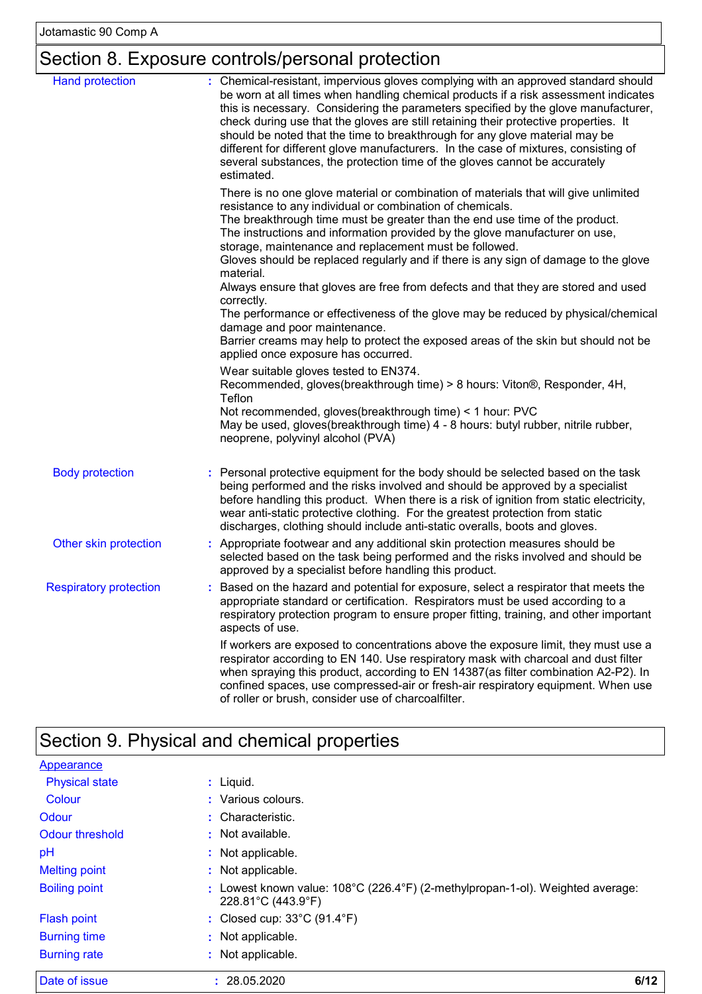# Section 8. Exposure controls/personal protection

| <b>Hand protection</b>        | : Chemical-resistant, impervious gloves complying with an approved standard should<br>be worn at all times when handling chemical products if a risk assessment indicates<br>this is necessary. Considering the parameters specified by the glove manufacturer,<br>check during use that the gloves are still retaining their protective properties. It<br>should be noted that the time to breakthrough for any glove material may be<br>different for different glove manufacturers. In the case of mixtures, consisting of<br>several substances, the protection time of the gloves cannot be accurately<br>estimated. |
|-------------------------------|---------------------------------------------------------------------------------------------------------------------------------------------------------------------------------------------------------------------------------------------------------------------------------------------------------------------------------------------------------------------------------------------------------------------------------------------------------------------------------------------------------------------------------------------------------------------------------------------------------------------------|
|                               | There is no one glove material or combination of materials that will give unlimited<br>resistance to any individual or combination of chemicals.<br>The breakthrough time must be greater than the end use time of the product.<br>The instructions and information provided by the glove manufacturer on use,<br>storage, maintenance and replacement must be followed.                                                                                                                                                                                                                                                  |
|                               | Gloves should be replaced regularly and if there is any sign of damage to the glove<br>material.<br>Always ensure that gloves are free from defects and that they are stored and used                                                                                                                                                                                                                                                                                                                                                                                                                                     |
|                               | correctly.<br>The performance or effectiveness of the glove may be reduced by physical/chemical<br>damage and poor maintenance.<br>Barrier creams may help to protect the exposed areas of the skin but should not be<br>applied once exposure has occurred.                                                                                                                                                                                                                                                                                                                                                              |
|                               | Wear suitable gloves tested to EN374.<br>Recommended, gloves(breakthrough time) > 8 hours: Viton®, Responder, 4H,<br>Teflon                                                                                                                                                                                                                                                                                                                                                                                                                                                                                               |
|                               | Not recommended, gloves(breakthrough time) < 1 hour: PVC<br>May be used, gloves(breakthrough time) 4 - 8 hours: butyl rubber, nitrile rubber,<br>neoprene, polyvinyl alcohol (PVA)                                                                                                                                                                                                                                                                                                                                                                                                                                        |
| <b>Body protection</b>        | Personal protective equipment for the body should be selected based on the task<br>being performed and the risks involved and should be approved by a specialist<br>before handling this product. When there is a risk of ignition from static electricity,<br>wear anti-static protective clothing. For the greatest protection from static<br>discharges, clothing should include anti-static overalls, boots and gloves.                                                                                                                                                                                               |
| Other skin protection         | : Appropriate footwear and any additional skin protection measures should be<br>selected based on the task being performed and the risks involved and should be<br>approved by a specialist before handling this product.                                                                                                                                                                                                                                                                                                                                                                                                 |
| <b>Respiratory protection</b> | Based on the hazard and potential for exposure, select a respirator that meets the<br>appropriate standard or certification. Respirators must be used according to a<br>respiratory protection program to ensure proper fitting, training, and other important<br>aspects of use.                                                                                                                                                                                                                                                                                                                                         |
|                               | If workers are exposed to concentrations above the exposure limit, they must use a<br>respirator according to EN 140. Use respiratory mask with charcoal and dust filter<br>when spraying this product, according to EN 14387(as filter combination A2-P2). In<br>confined spaces, use compressed-air or fresh-air respiratory equipment. When use<br>of roller or brush, consider use of charcoalfilter.                                                                                                                                                                                                                 |

# Section 9. Physical and chemical properties

| Date of issue         | 6/12<br>28.05.2020                                                                                                        |
|-----------------------|---------------------------------------------------------------------------------------------------------------------------|
| <b>Burning rate</b>   | : Not applicable.                                                                                                         |
| <b>Burning time</b>   | : Not applicable.                                                                                                         |
| <b>Flash point</b>    | : Closed cup: $33^{\circ}$ C (91.4 $^{\circ}$ F)                                                                          |
| <b>Boiling point</b>  | : Lowest known value: $108^{\circ}$ C (226.4 $^{\circ}$ F) (2-methylpropan-1-ol). Weighted average:<br>228.81°C (443.9°F) |
| <b>Melting point</b>  | : Not applicable.                                                                                                         |
| pH                    | : Not applicable.                                                                                                         |
| Odour threshold       | : Not available.                                                                                                          |
| Odour                 | : Characteristic.                                                                                                         |
| Colour                | : Various colours.                                                                                                        |
| <b>Physical state</b> | $:$ Liquid.                                                                                                               |
| Appearance            |                                                                                                                           |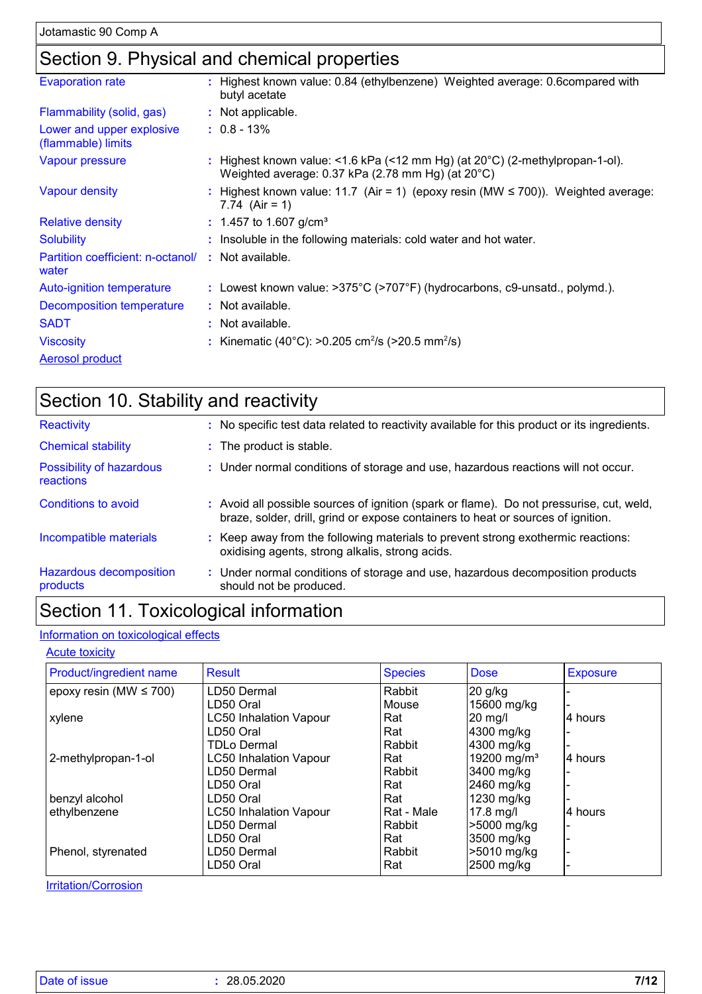## Section 9. Physical and chemical properties

| <b>Evaporation rate</b>                         | : Highest known value: 0.84 (ethylbenzene) Weighted average: 0.6compared with<br>butyl acetate                                              |
|-------------------------------------------------|---------------------------------------------------------------------------------------------------------------------------------------------|
| Flammability (solid, gas)                       | : Not applicable.                                                                                                                           |
| Lower and upper explosive<br>(flammable) limits | $: 0.8 - 13\%$                                                                                                                              |
| Vapour pressure                                 | : Highest known value: <1.6 kPa (<12 mm Hg) (at $20^{\circ}$ C) (2-methylpropan-1-ol).<br>Weighted average: 0.37 kPa (2.78 mm Hg) (at 20°C) |
| <b>Vapour density</b>                           | : Highest known value: 11.7 (Air = 1) (epoxy resin (MW ≤ 700)). Weighted average:<br>7.74 $(Air = 1)$                                       |
| <b>Relative density</b>                         | : 1.457 to 1.607 g/cm <sup>3</sup>                                                                                                          |
| <b>Solubility</b>                               | : Insoluble in the following materials: cold water and hot water.                                                                           |
| Partition coefficient: n-octanol/<br>water      | : Not available.                                                                                                                            |
| Auto-ignition temperature                       | : Lowest known value: $>375^{\circ}$ C ( $>707^{\circ}$ F) (hydrocarbons, c9-unsatd., polymd.).                                             |
| Decomposition temperature                       | : Not available.                                                                                                                            |
| <b>SADT</b>                                     | : Not available.                                                                                                                            |
| <b>Viscosity</b>                                | : Kinematic (40°C): >0.205 cm <sup>2</sup> /s (>20.5 mm <sup>2</sup> /s)                                                                    |
| Aerosol product                                 |                                                                                                                                             |

| Section 10. Stability and reactivity  |                                                                                                                                                                              |  |  |  |
|---------------------------------------|------------------------------------------------------------------------------------------------------------------------------------------------------------------------------|--|--|--|
| Reactivity                            | : No specific test data related to reactivity available for this product or its ingredients.                                                                                 |  |  |  |
| <b>Chemical stability</b>             | : The product is stable.                                                                                                                                                     |  |  |  |
| Possibility of hazardous<br>reactions | : Under normal conditions of storage and use, hazardous reactions will not occur.                                                                                            |  |  |  |
| Conditions to avoid                   | : Avoid all possible sources of ignition (spark or flame). Do not pressurise, cut, weld,<br>braze, solder, drill, grind or expose containers to heat or sources of ignition. |  |  |  |
| Incompatible materials                | : Keep away from the following materials to prevent strong exothermic reactions:<br>oxidising agents, strong alkalis, strong acids.                                          |  |  |  |
| Hazardous decomposition<br>products   | : Under normal conditions of storage and use, hazardous decomposition products<br>should not be produced.                                                                    |  |  |  |

# Section 11. Toxicological information

#### Information on toxicological effects

#### **Acute toxicity**

| Product/ingredient name     | <b>Result</b>                 | <b>Species</b> | <b>Dose</b>             | <b>Exposure</b> |
|-----------------------------|-------------------------------|----------------|-------------------------|-----------------|
| epoxy resin (MW $\leq$ 700) | LD50 Dermal                   | Rabbit         | 20 g/kg                 |                 |
|                             | LD50 Oral                     | Mouse          | 15600 mg/kg             |                 |
| xylene                      | <b>LC50 Inhalation Vapour</b> | Rat            | 20 mg/l                 | 4 hours         |
|                             | LD50 Oral                     | Rat            | 4300 mg/kg              |                 |
|                             | TDLo Dermal                   | Rabbit         | 4300 mg/kg              |                 |
| 2-methylpropan-1-ol         | <b>LC50 Inhalation Vapour</b> | Rat            | 19200 mg/m <sup>3</sup> | l4 hours        |
|                             | LD50 Dermal                   | Rabbit         | 3400 mg/kg              |                 |
|                             | LD50 Oral                     | Rat            | 2460 mg/kg              |                 |
| benzyl alcohol              | LD50 Oral                     | Rat            | 1230 mg/kg              |                 |
| ethylbenzene                | <b>LC50 Inhalation Vapour</b> | Rat - Male     | $17.8$ mg/l             | 4 hours         |
|                             | LD50 Dermal                   | Rabbit         | >5000 mg/kg             |                 |
|                             | LD50 Oral                     | Rat            | 3500 mg/kg              |                 |
| Phenol, styrenated          | LD50 Dermal                   | Rabbit         | >5010 mg/kg             |                 |
|                             | LD50 Oral                     | Rat            | 2500 mg/kg              |                 |

**Irritation/Corrosion**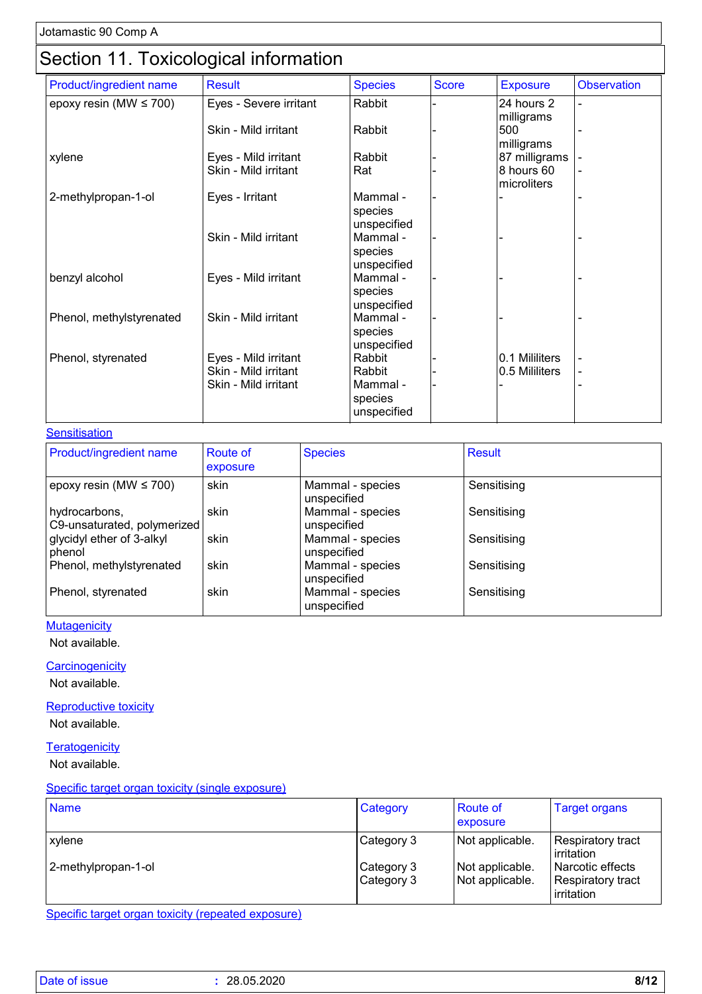## Section 11. Toxicological information

|                             | ັ                      |                        |              |                 |                    |
|-----------------------------|------------------------|------------------------|--------------|-----------------|--------------------|
| Product/ingredient name     | <b>Result</b>          | <b>Species</b>         | <b>Score</b> | <b>Exposure</b> | <b>Observation</b> |
| epoxy resin (MW $\leq$ 700) | Eyes - Severe irritant | Rabbit                 |              | 24 hours 2      |                    |
|                             |                        |                        |              | milligrams      |                    |
|                             | Skin - Mild irritant   | Rabbit                 |              | 500             |                    |
|                             |                        |                        |              | milligrams      |                    |
| xylene                      | Eyes - Mild irritant   | Rabbit                 |              | 87 milligrams   |                    |
|                             | Skin - Mild irritant   | Rat                    |              | 8 hours 60      |                    |
|                             |                        |                        |              | microliters     |                    |
| 2-methylpropan-1-ol         | Eyes - Irritant        | Mammal -               |              |                 |                    |
|                             |                        | species                |              |                 |                    |
|                             |                        | unspecified            |              |                 |                    |
|                             | Skin - Mild irritant   | Mammal -               |              |                 |                    |
|                             |                        | species                |              |                 |                    |
|                             |                        | unspecified            |              |                 |                    |
| benzyl alcohol              | Eyes - Mild irritant   | Mammal -               |              |                 |                    |
|                             |                        | species                |              |                 |                    |
|                             |                        | unspecified            |              |                 |                    |
| Phenol, methylstyrenated    | Skin - Mild irritant   | Mammal -               |              |                 |                    |
|                             |                        | species<br>unspecified |              |                 |                    |
| Phenol, styrenated          | Eyes - Mild irritant   | Rabbit                 |              | 0.1 Mililiters  |                    |
|                             | Skin - Mild irritant   | Rabbit                 |              | 0.5 Mililiters  |                    |
|                             | Skin - Mild irritant   | Mammal -               |              |                 |                    |
|                             |                        | species                |              |                 |                    |
|                             |                        | unspecified            |              |                 |                    |
|                             |                        |                        |              |                 |                    |

#### **Sensitisation**

| <b>Product/ingredient name</b>               | <b>Route of</b> | <b>Species</b>                  | <b>Result</b> |
|----------------------------------------------|-----------------|---------------------------------|---------------|
|                                              | exposure        |                                 |               |
| epoxy resin (MW $\leq$ 700)                  | skin            | Mammal - species<br>unspecified | Sensitising   |
| hydrocarbons,<br>C9-unsaturated, polymerized | skin            | Mammal - species<br>unspecified | Sensitising   |
| glycidyl ether of 3-alkyl<br>phenol          | skin            | Mammal - species<br>unspecified | Sensitising   |
| Phenol, methylstyrenated                     | skin            | Mammal - species<br>unspecified | Sensitising   |
| Phenol, styrenated                           | skin            | Mammal - species<br>unspecified | Sensitising   |

#### **Mutagenicity**

Not available.

#### **Carcinogenicity**

Not available.

#### **Reproductive toxicity**

Not available.

#### **Teratogenicity**

Not available.

#### Specific target organ toxicity (single exposure)

| <b>Name</b>                   | Category                               | Route of<br>exposure                                  | <b>Target organs</b>                                                                   |
|-------------------------------|----------------------------------------|-------------------------------------------------------|----------------------------------------------------------------------------------------|
| xylene<br>2-methylpropan-1-ol | Category 3<br>Category 3<br>Category 3 | Not applicable.<br>Not applicable.<br>Not applicable. | Respiratory tract<br>irritation<br>Narcotic effects<br>Respiratory tract<br>irritation |

Specific target organ toxicity (repeated exposure)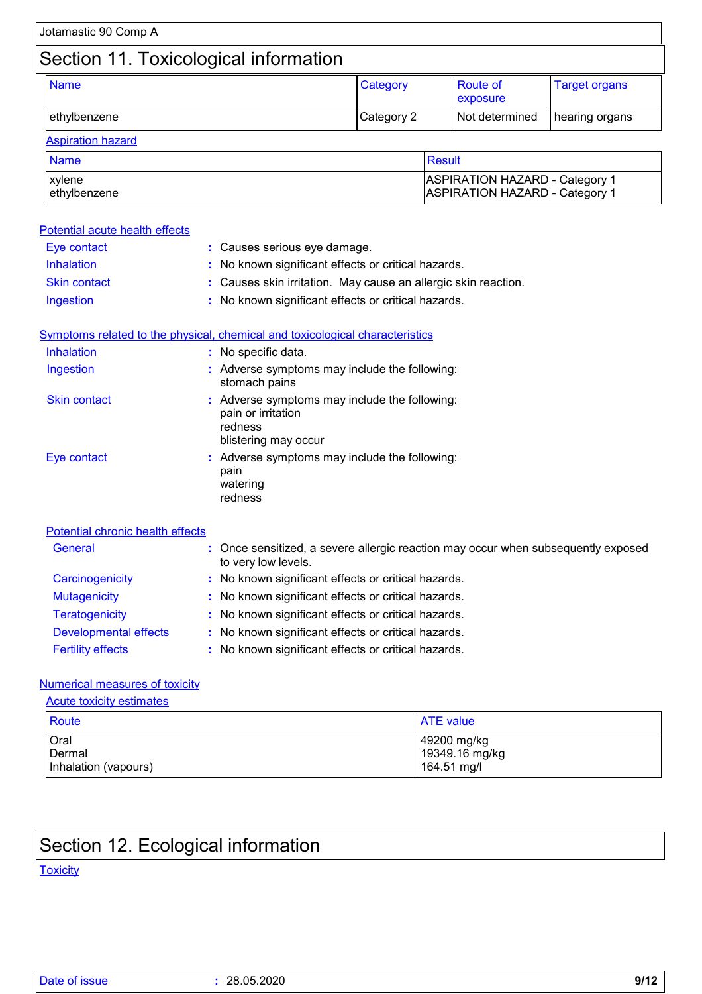| Jotamastic 90 Comp A                  |            |                             |                      |
|---------------------------------------|------------|-----------------------------|----------------------|
| Section 11. Toxicological information |            |                             |                      |
| <b>Name</b>                           | Category   | <b>Route of</b><br>exposure | <b>Target organs</b> |
| ethylbenzene                          | Category 2 | Not determined              | hearing organs       |
| <b>Aspiration hazard</b>              |            |                             |                      |

| <b>Name</b>   | ∣ Result                              |
|---------------|---------------------------------------|
| xvlene        | <b>ASPIRATION HAZARD - Category 1</b> |
| lethylbenzene | <b>ASPIRATION HAZARD - Category 1</b> |

| Potential acute health effects   |                                                                                                        |  |
|----------------------------------|--------------------------------------------------------------------------------------------------------|--|
| Eye contact                      | : Causes serious eye damage.                                                                           |  |
| Inhalation                       | : No known significant effects or critical hazards.                                                    |  |
| <b>Skin contact</b>              | : Causes skin irritation. May cause an allergic skin reaction.                                         |  |
| Ingestion                        | : No known significant effects or critical hazards.                                                    |  |
|                                  | Symptoms related to the physical, chemical and toxicological characteristics                           |  |
| Inhalation                       | : No specific data.                                                                                    |  |
| Ingestion                        | : Adverse symptoms may include the following:<br>stomach pains                                         |  |
| <b>Skin contact</b>              | : Adverse symptoms may include the following:<br>pain or irritation<br>redness<br>blistering may occur |  |
| Eye contact                      | : Adverse symptoms may include the following:<br>pain<br>watering<br>redness                           |  |
| Potential chronic health effects |                                                                                                        |  |
| General                          | Once sensitized, a severe allergic reaction may occur when subsequently exposed<br>to very low levels. |  |
| Carcinogenicity                  | : No known significant effects or critical hazards.                                                    |  |
| <b>Mutagenicity</b>              | : No known significant effects or critical hazards.                                                    |  |
| <b>Teratogenicity</b>            | : No known significant effects or critical hazards.                                                    |  |

| <u>i vratogoritori j</u>     | . The implificial digital detector of children nuclearup. |
|------------------------------|-----------------------------------------------------------|
| <b>Developmental effects</b> | : No known significant effects or critical hazards.       |
| <b>Fertility effects</b>     | : No known significant effects or critical hazards.       |

#### Numerical measures of toxicity

| <b>Acute toxicity estimates</b>        |                                              |  |
|----------------------------------------|----------------------------------------------|--|
| <b>Route</b>                           | <b>ATE</b> value                             |  |
| Oral<br>Dermal<br>Inhalation (vapours) | 49200 mg/kg<br>19349.16 mg/kg<br>164.51 mg/l |  |

# Section 12. Ecological information

#### **Toxicity**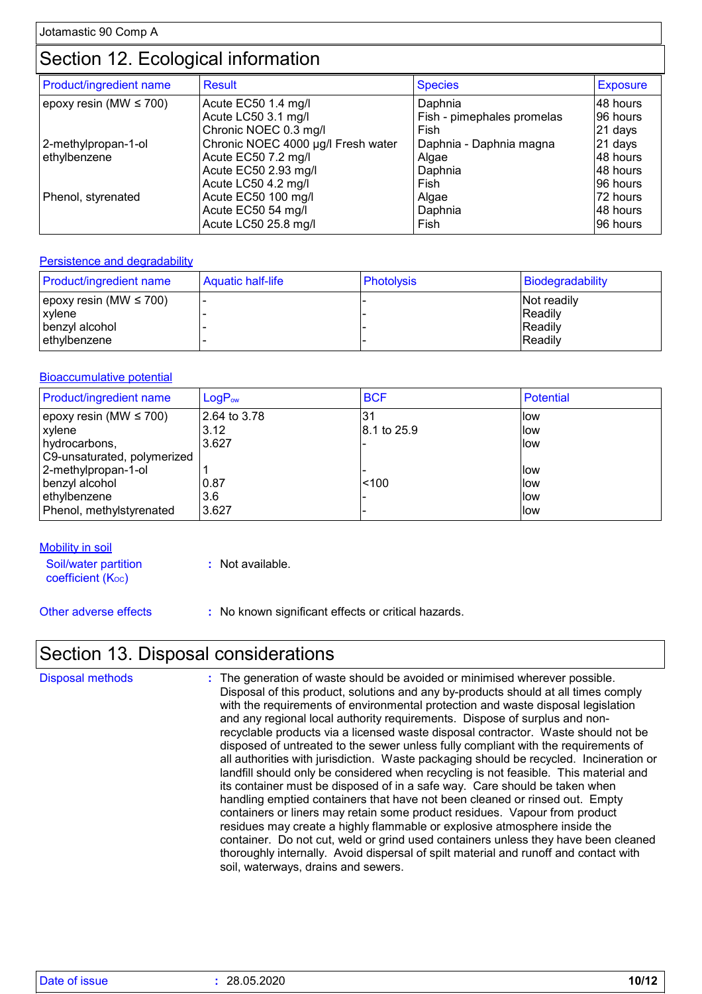## Section 12. Ecological information

| Product/ingredient name     | <b>Result</b>                      | <b>Species</b>             | <b>Exposure</b> |
|-----------------------------|------------------------------------|----------------------------|-----------------|
| epoxy resin (MW $\leq$ 700) | Acute EC50 1.4 mg/l                | Daphnia                    | 48 hours        |
|                             | Acute LC50 3.1 mg/l                | Fish - pimephales promelas | 96 hours        |
|                             | Chronic NOEC 0.3 mg/l              | Fish                       | 21 days         |
| 2-methylpropan-1-ol         | Chronic NOEC 4000 µg/l Fresh water | Daphnia - Daphnia magna    | 21 days         |
| ethylbenzene                | Acute EC50 7.2 mg/l                | Algae                      | 48 hours        |
|                             | Acute EC50 2.93 mg/l               | Daphnia                    | 48 hours        |
|                             | Acute LC50 4.2 mg/l                | Fish                       | 96 hours        |
| Phenol, styrenated          | Acute EC50 100 mg/l                | Algae                      | 72 hours        |
|                             | Acute EC50 54 mg/l                 | Daphnia                    | 48 hours        |
|                             | Acute LC50 25.8 mg/l               | Fish                       | 96 hours        |

#### **Persistence and degradability**

| <b>Product/ingredient name</b>                                           | Aquatic half-life | <b>Photolysis</b> | Biodegradability                             |
|--------------------------------------------------------------------------|-------------------|-------------------|----------------------------------------------|
| epoxy resin (MW $\leq$ 700)<br>xylene<br>benzyl alcohol<br>lethvlbenzene |                   |                   | Not readily<br>Readily<br>Readily<br>Readily |

#### Bioaccumulative potential

| Product/ingredient name     | LogP <sub>ow</sub> | <b>BCF</b>  | <b>Potential</b> |
|-----------------------------|--------------------|-------------|------------------|
| epoxy resin (MW $\leq$ 700) | 2.64 to 3.78       | .31         | low              |
| xylene                      | 3.12               | 8.1 to 25.9 | llow             |
| hydrocarbons,               | 3.627              |             | llow             |
| C9-unsaturated, polymerized |                    |             |                  |
| 2-methylpropan-1-ol         |                    |             | llow             |
| benzyl alcohol              | 0.87               | < 100       | llow             |
| ethylbenzene                | 3.6                |             | llow             |
| Phenol, methylstyrenated    | 3.627              |             | llow             |

**Mobility in soil** 

Soil/water partition  $coefficient (K<sub>oc</sub>)$ 

**:** Not available.

Other adverse effects **:** No known significant effects or critical hazards.

### Section 13. Disposal considerations

| <b>Disposal methods</b> | : The generation of waste should be avoided or minimised wherever possible.<br>Disposal of this product, solutions and any by-products should at all times comply<br>with the requirements of environmental protection and waste disposal legislation<br>and any regional local authority requirements. Dispose of surplus and non-<br>recyclable products via a licensed waste disposal contractor. Waste should not be<br>disposed of untreated to the sewer unless fully compliant with the requirements of<br>all authorities with jurisdiction. Waste packaging should be recycled. Incineration or<br>landfill should only be considered when recycling is not feasible. This material and<br>its container must be disposed of in a safe way. Care should be taken when<br>handling emptied containers that have not been cleaned or rinsed out. Empty<br>containers or liners may retain some product residues. Vapour from product<br>residues may create a highly flammable or explosive atmosphere inside the<br>container. Do not cut, weld or grind used containers unless they have been cleaned |
|-------------------------|----------------------------------------------------------------------------------------------------------------------------------------------------------------------------------------------------------------------------------------------------------------------------------------------------------------------------------------------------------------------------------------------------------------------------------------------------------------------------------------------------------------------------------------------------------------------------------------------------------------------------------------------------------------------------------------------------------------------------------------------------------------------------------------------------------------------------------------------------------------------------------------------------------------------------------------------------------------------------------------------------------------------------------------------------------------------------------------------------------------|
|                         | thoroughly internally. Avoid dispersal of spilt material and runoff and contact with<br>soil, waterways, drains and sewers.                                                                                                                                                                                                                                                                                                                                                                                                                                                                                                                                                                                                                                                                                                                                                                                                                                                                                                                                                                                    |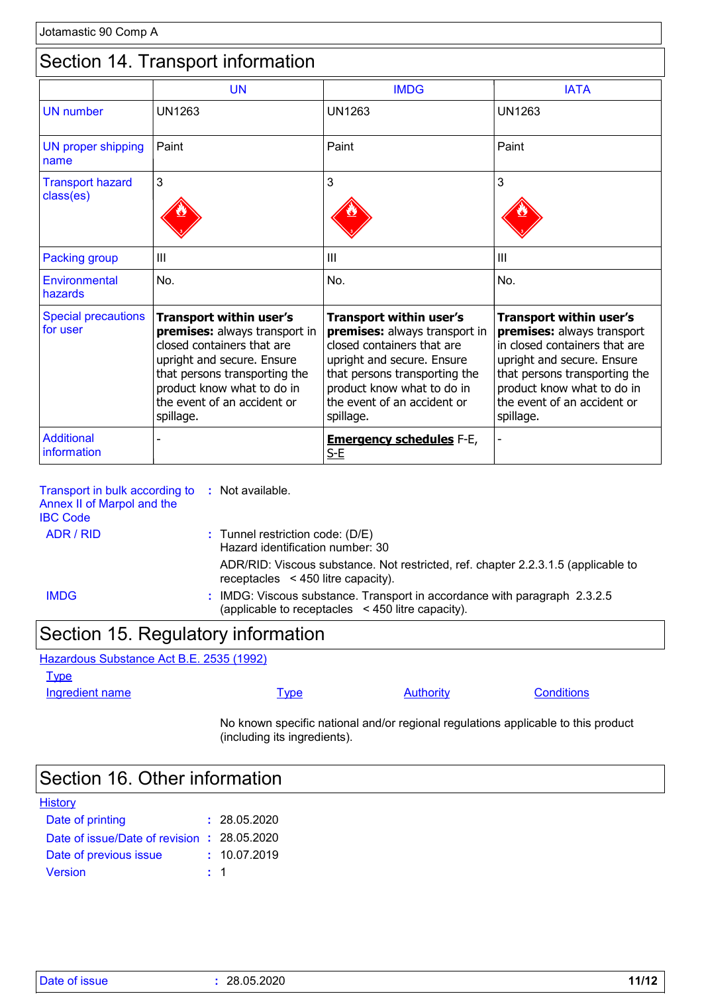### Section 14. Transport information

|                                        | <b>UN</b>                                                                                                                                                                                                                              | <b>IMDG</b>                                                                                                                                                                                                                     | <b>IATA</b>                                                                                                                                                                                                                     |
|----------------------------------------|----------------------------------------------------------------------------------------------------------------------------------------------------------------------------------------------------------------------------------------|---------------------------------------------------------------------------------------------------------------------------------------------------------------------------------------------------------------------------------|---------------------------------------------------------------------------------------------------------------------------------------------------------------------------------------------------------------------------------|
| <b>UN</b> number                       | <b>UN1263</b>                                                                                                                                                                                                                          | <b>UN1263</b>                                                                                                                                                                                                                   | <b>UN1263</b>                                                                                                                                                                                                                   |
| UN proper shipping<br>name             | Paint                                                                                                                                                                                                                                  | Paint                                                                                                                                                                                                                           | Paint                                                                                                                                                                                                                           |
| <b>Transport hazard</b><br>class(es)   | 3                                                                                                                                                                                                                                      | 3                                                                                                                                                                                                                               | 3                                                                                                                                                                                                                               |
| <b>Packing group</b>                   | Ш                                                                                                                                                                                                                                      | Ш                                                                                                                                                                                                                               | Ш                                                                                                                                                                                                                               |
| Environmental<br>hazards               | No.                                                                                                                                                                                                                                    | No.                                                                                                                                                                                                                             | No.                                                                                                                                                                                                                             |
| <b>Special precautions</b><br>for user | <b>Transport within user's</b><br>premises: always transport in<br>closed containers that are<br>upright and secure. Ensure<br>that persons transporting the<br>product know what to do in<br>the event of an accident or<br>spillage. | Transport within user's<br>premises: always transport in<br>closed containers that are<br>upright and secure. Ensure<br>that persons transporting the<br>product know what to do in<br>the event of an accident or<br>spillage. | Transport within user's<br>premises: always transport<br>in closed containers that are<br>upright and secure. Ensure<br>that persons transporting the<br>product know what to do in<br>the event of an accident or<br>spillage. |
| <b>Additional</b><br>information       |                                                                                                                                                                                                                                        | <b>Emergency schedules F-E,</b><br>$S-E$                                                                                                                                                                                        |                                                                                                                                                                                                                                 |

| Transport in bulk according to<br>Annex II of Marpol and the<br><b>IBC Code</b> | : Not available.                                                                                                               |
|---------------------------------------------------------------------------------|--------------------------------------------------------------------------------------------------------------------------------|
| ADR / RID                                                                       | $:$ Tunnel restriction code: (D/E)<br>Hazard identification number: 30                                                         |
|                                                                                 | ADR/RID: Viscous substance. Not restricted, ref. chapter 2.2.3.1.5 (applicable to<br>receptacles $\leq$ 450 litre capacity).   |
| <b>IMDG</b>                                                                     | : IMDG: Viscous substance. Transport in accordance with paragraph 2.3.2.5<br>(applicable to receptacles < 450 litre capacity). |
|                                                                                 |                                                                                                                                |

### Section 15. Regulatory information

Hazardous Substance Act B.E. 2535 (1992)

**Type** 

Ingredient name **IVPE** Type Authority Conditions

No known specific national and/or regional regulations applicable to this product (including its ingredients).

## Section 16. Other information

| <b>History</b>                              |              |
|---------------------------------------------|--------------|
| Date of printing                            | : 28.05.2020 |
| Date of issue/Date of revision : 28.05.2020 |              |
| Date of previous issue                      | : 10.07.2019 |
| <b>Version</b>                              | $\pm$ 1      |

| Date of issue |            | 11/12 |
|---------------|------------|-------|
|               | 28.05.2020 |       |
|               |            |       |